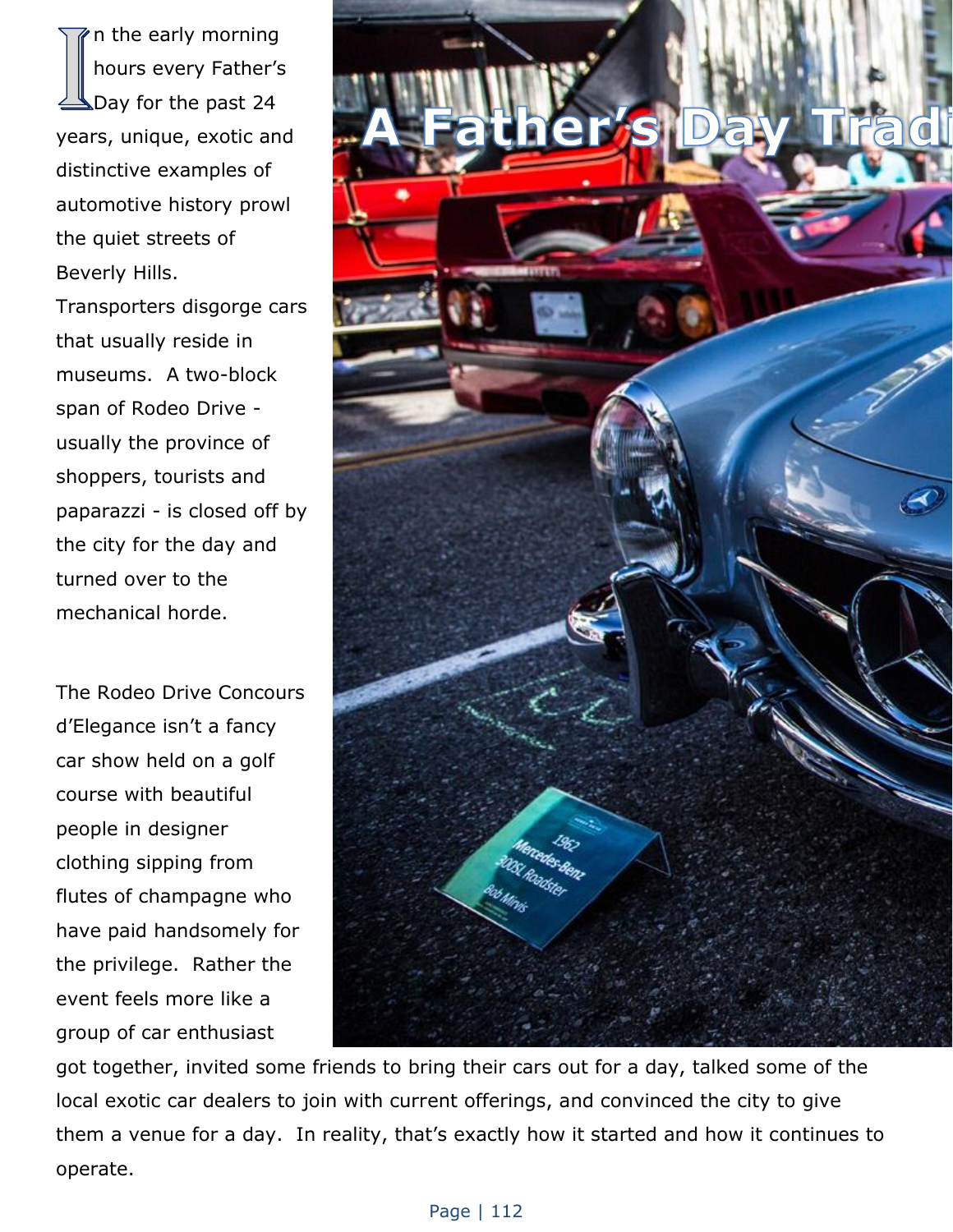n the early morning hours every Father's Day for the past 24 years, unique, exotic and distinctive examples of automotive history prowl the quiet streets of Beverly Hills. Transporters disgorge cars

that usually reside in museums. A two-block span of Rodeo Drive usually the province of shoppers, tourists and paparazzi - is closed off by the city for the day and turned over to the mechanical horde.

The Rodeo Drive Concours d'Elegance isn't a fancy car show held on a golf course with beautiful people in designer clothing sipping from flutes of champagne who have paid handsomely for the privilege. Rather the event feels more like a group of car enthusiast



got together, invited some friends to bring their cars out for a day, talked some of the local exotic car dealers to join with current offerings, and convinced the city to give them a venue for a day. In reality, that's exactly how it started and how it continues to operate.

## Page | 112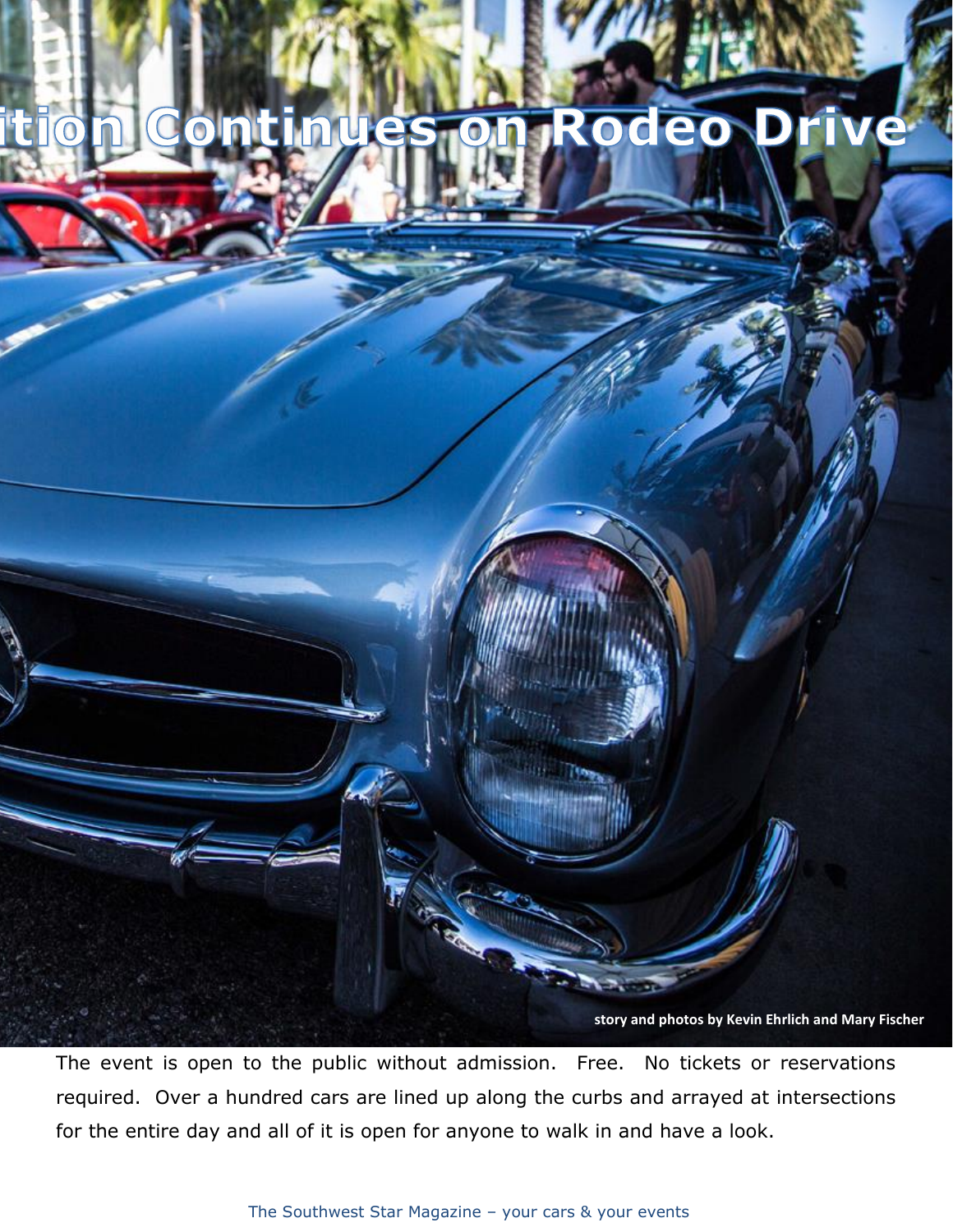

The event is open to the public without admission. Free. No tickets or reservations required. Over a hundred cars are lined up along the curbs and arrayed at intersections for the entire day and all of it is open for anyone to walk in and have a look.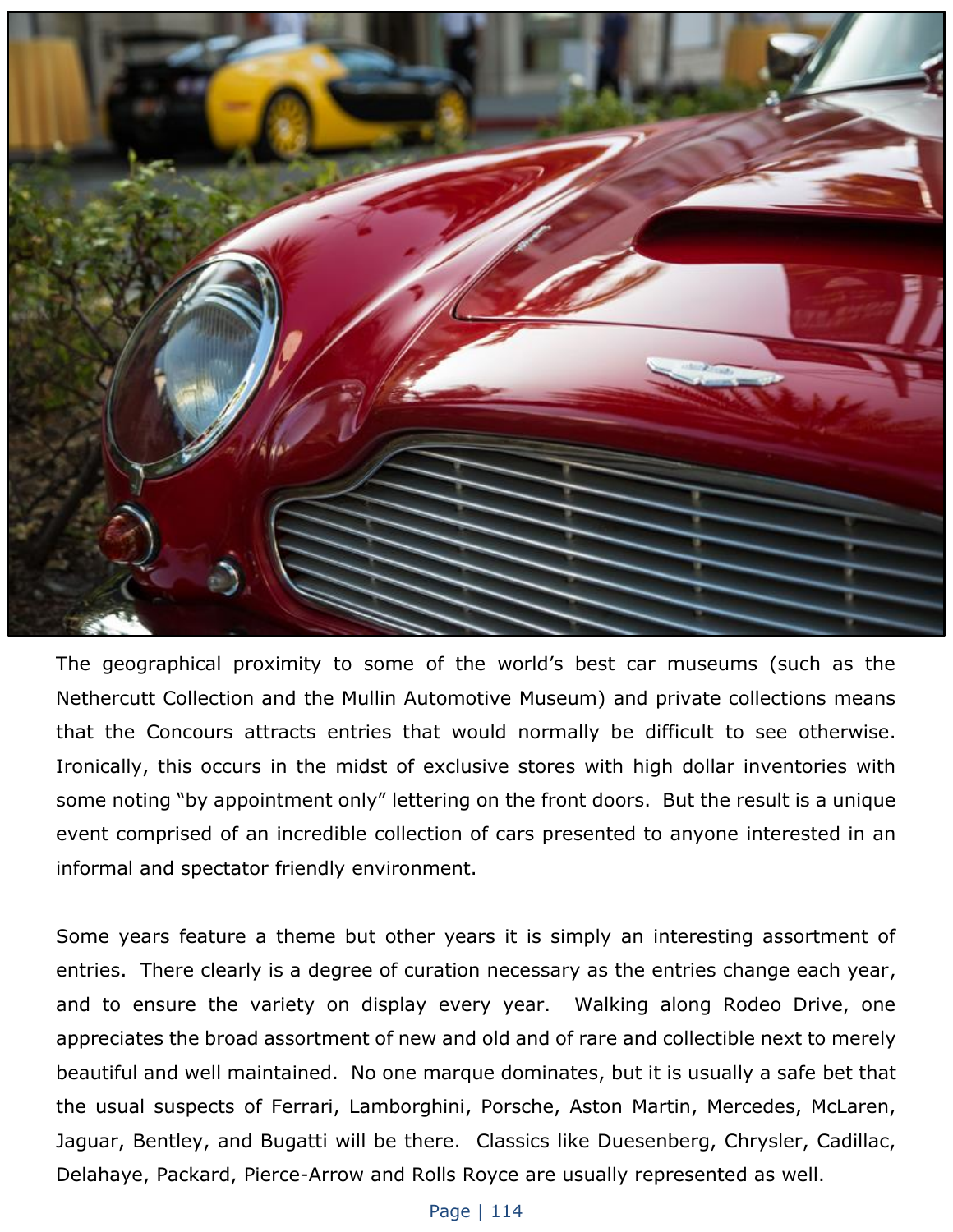

The geographical proximity to some of the world's best car museums (such as the Nethercutt Collection and the Mullin Automotive Museum) and private collections means that the Concours attracts entries that would normally be difficult to see otherwise. Ironically, this occurs in the midst of exclusive stores with high dollar inventories with some noting "by appointment only" lettering on the front doors. But the result is a unique event comprised of an incredible collection of cars presented to anyone interested in an informal and spectator friendly environment.

Some years feature a theme but other years it is simply an interesting assortment of entries. There clearly is a degree of curation necessary as the entries change each year, and to ensure the variety on display every year. Walking along Rodeo Drive, one appreciates the broad assortment of new and old and of rare and collectible next to merely beautiful and well maintained. No one marque dominates, but it is usually a safe bet that the usual suspects of Ferrari, Lamborghini, Porsche, Aston Martin, Mercedes, McLaren, Jaguar, Bentley, and Bugatti will be there. Classics like Duesenberg, Chrysler, Cadillac, Delahaye, Packard, Pierce-Arrow and Rolls Royce are usually represented as well.

## Page | 114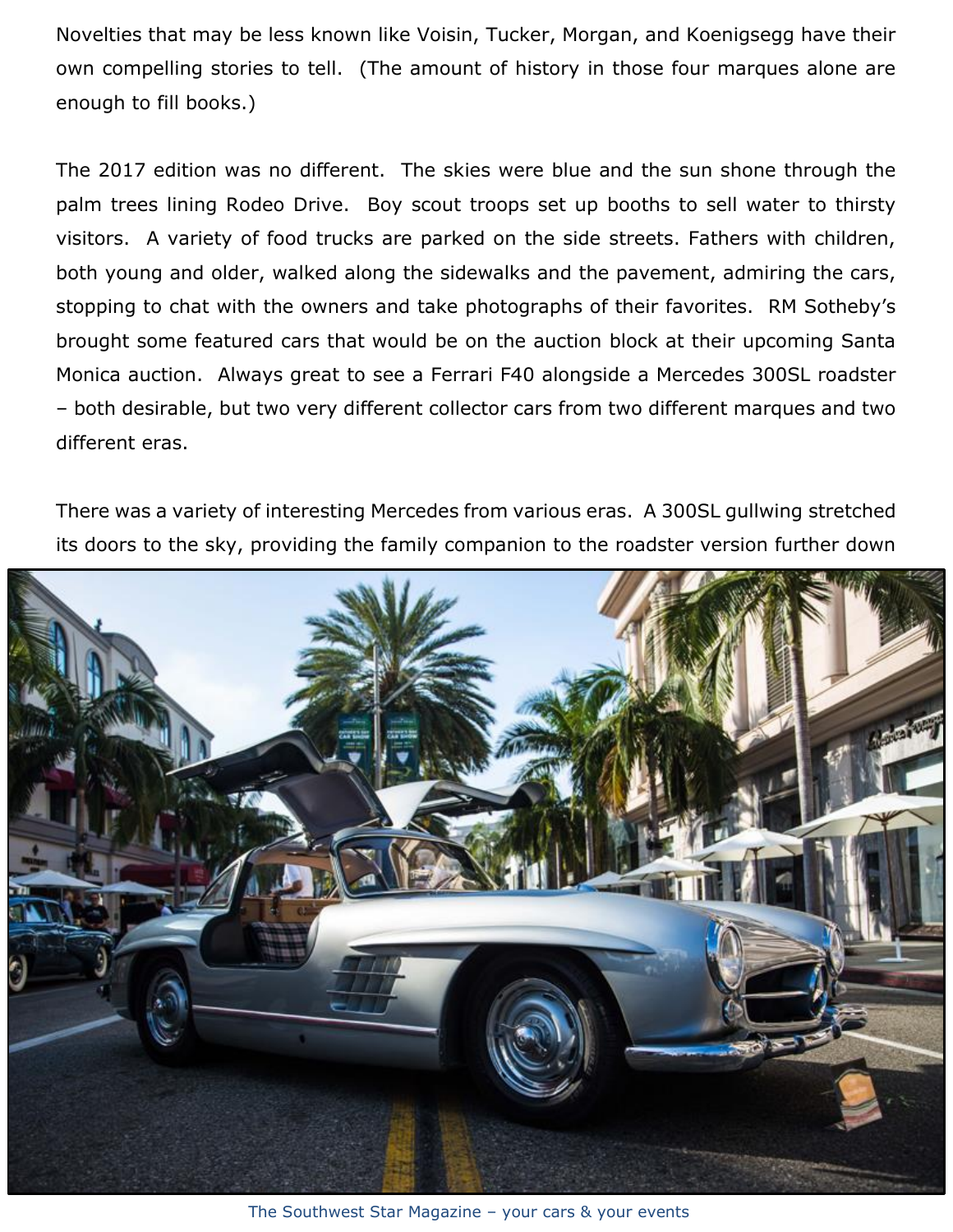Novelties that may be less known like Voisin, Tucker, Morgan, and Koenigsegg have their own compelling stories to tell. (The amount of history in those four marques alone are enough to fill books.)

The 2017 edition was no different. The skies were blue and the sun shone through the palm trees lining Rodeo Drive. Boy scout troops set up booths to sell water to thirsty visitors. A variety of food trucks are parked on the side streets. Fathers with children, both young and older, walked along the sidewalks and the pavement, admiring the cars, stopping to chat with the owners and take photographs of their favorites. RM Sotheby's brought some featured cars that would be on the auction block at their upcoming Santa Monica auction. Always great to see a Ferrari F40 alongside a Mercedes 300SL roadster – both desirable, but two very different collector cars from two different marques and two different eras.

There was a variety of interesting Mercedes from various eras. A 300SL gullwing stretched its doors to the sky, providing the family companion to the roadster version further down



The Southwest Star Magazine – your cars & your events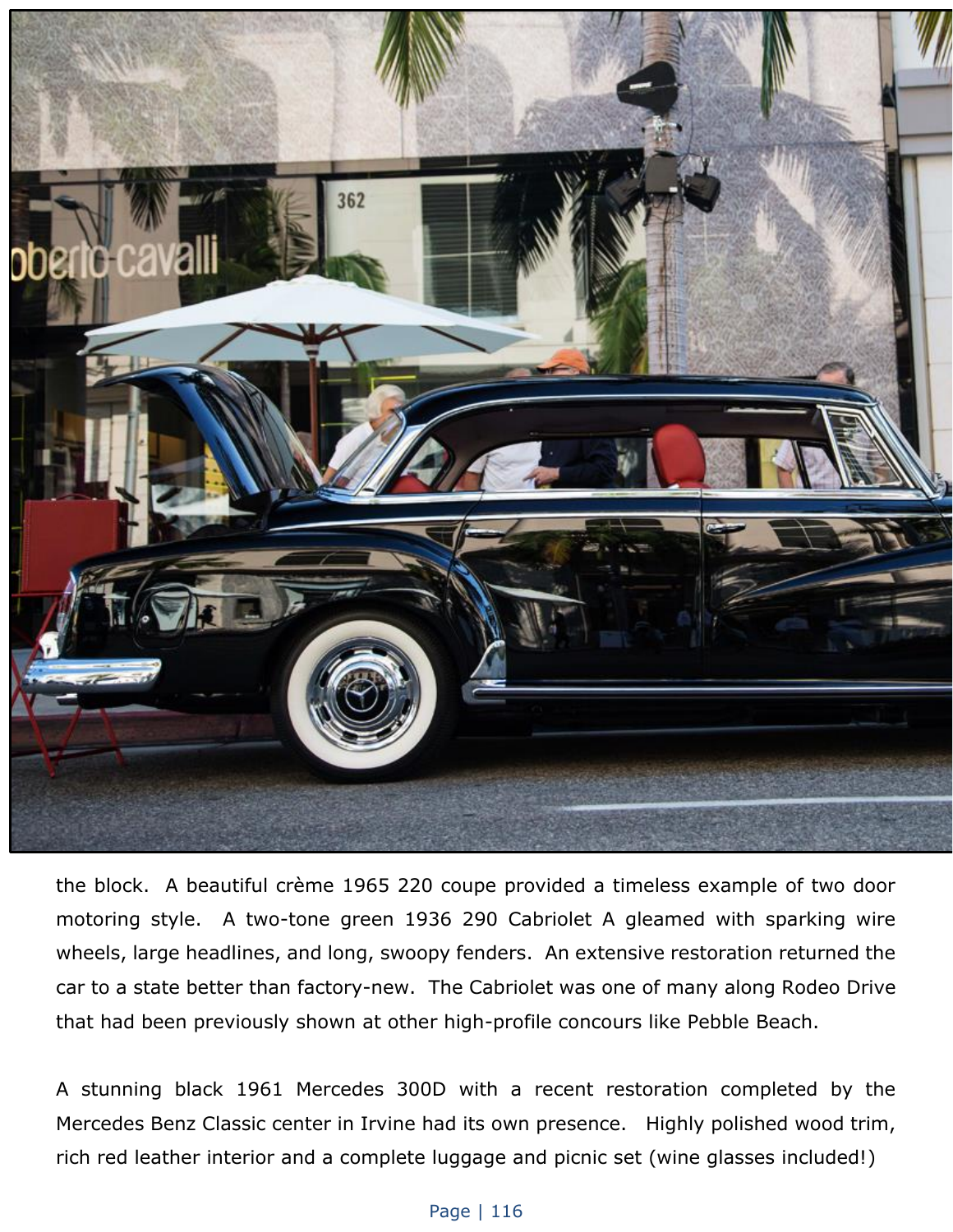

the block. A beautiful crème 1965 220 coupe provided a timeless example of two door motoring style. A two-tone green 1936 290 Cabriolet A gleamed with sparking wire wheels, large headlines, and long, swoopy fenders. An extensive restoration returned the car to a state better than factory-new. The Cabriolet was one of many along Rodeo Drive that had been previously shown at other high-profile concours like Pebble Beach.

A stunning black 1961 Mercedes 300D with a recent restoration completed by the Mercedes Benz Classic center in Irvine had its own presence. Highly polished wood trim, rich red leather interior and a complete luggage and picnic set (wine glasses included!)

## Page | 116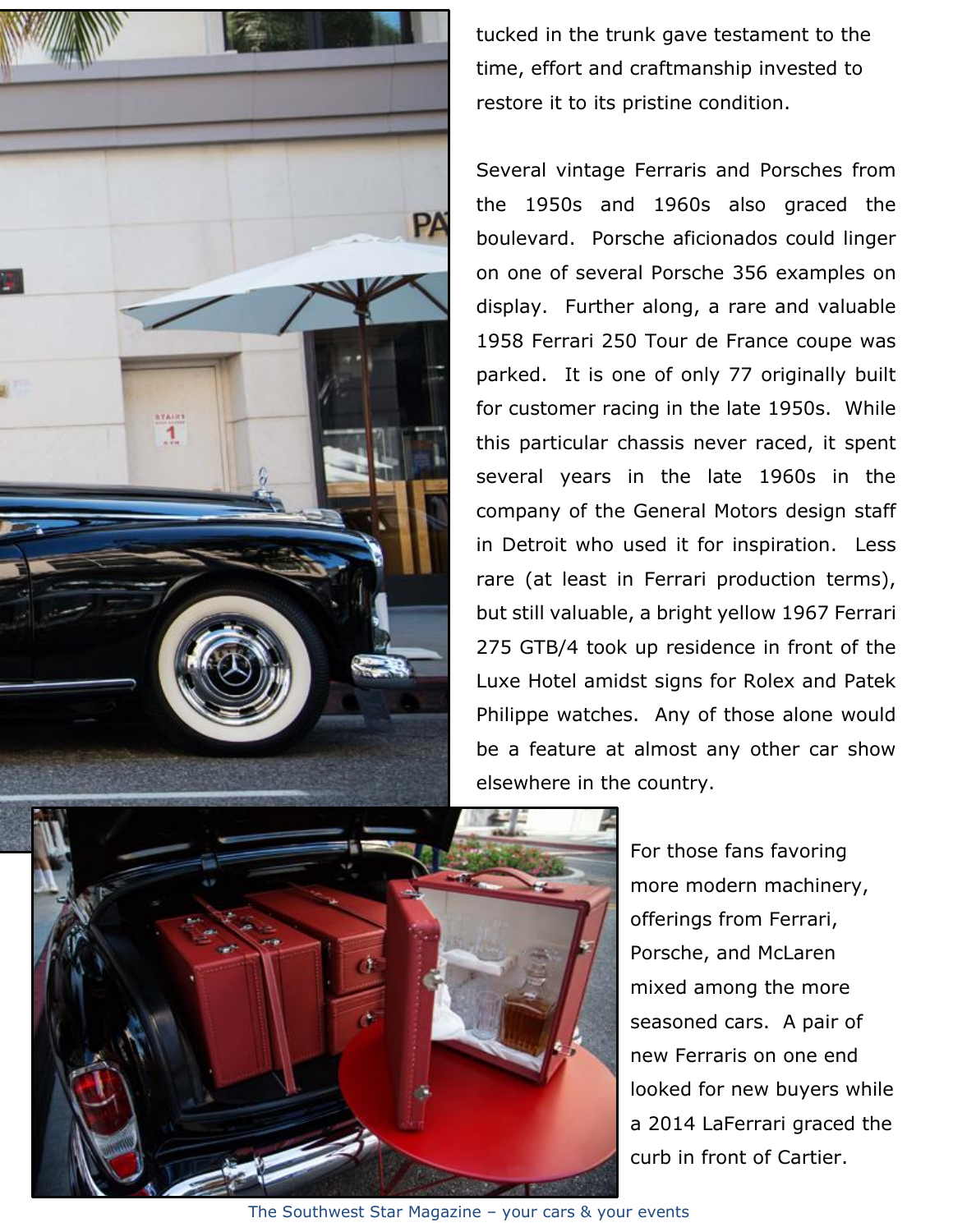

tucked in the trunk gave testament to the time, effort and craftmanship invested to restore it to its pristine condition.

Several vintage Ferraris and Porsches from the 1950s and 1960s also graced the boulevard. Porsche aficionados could linger on one of several Porsche 356 examples on display. Further along, a rare and valuable 1958 Ferrari 250 Tour de France coupe was parked. It is one of only 77 originally built for customer racing in the late 1950s. While this particular chassis never raced, it spent several years in the late 1960s in the company of the General Motors design staff in Detroit who used it for inspiration. Less rare (at least in Ferrari production terms), but still valuable, a bright yellow 1967 Ferrari 275 GTB/4 took up residence in front of the Luxe Hotel amidst signs for Rolex and Patek Philippe watches. Any of those alone would be a feature at almost any other car show elsewhere in the country.

> For those fans favoring more modern machinery, offerings from Ferrari, Porsche, and McLaren mixed among the more seasoned cars. A pair of new Ferraris on one end looked for new buyers while a 2014 LaFerrari graced the curb in front of Cartier.

The Southwest Star Magazine – your cars & your events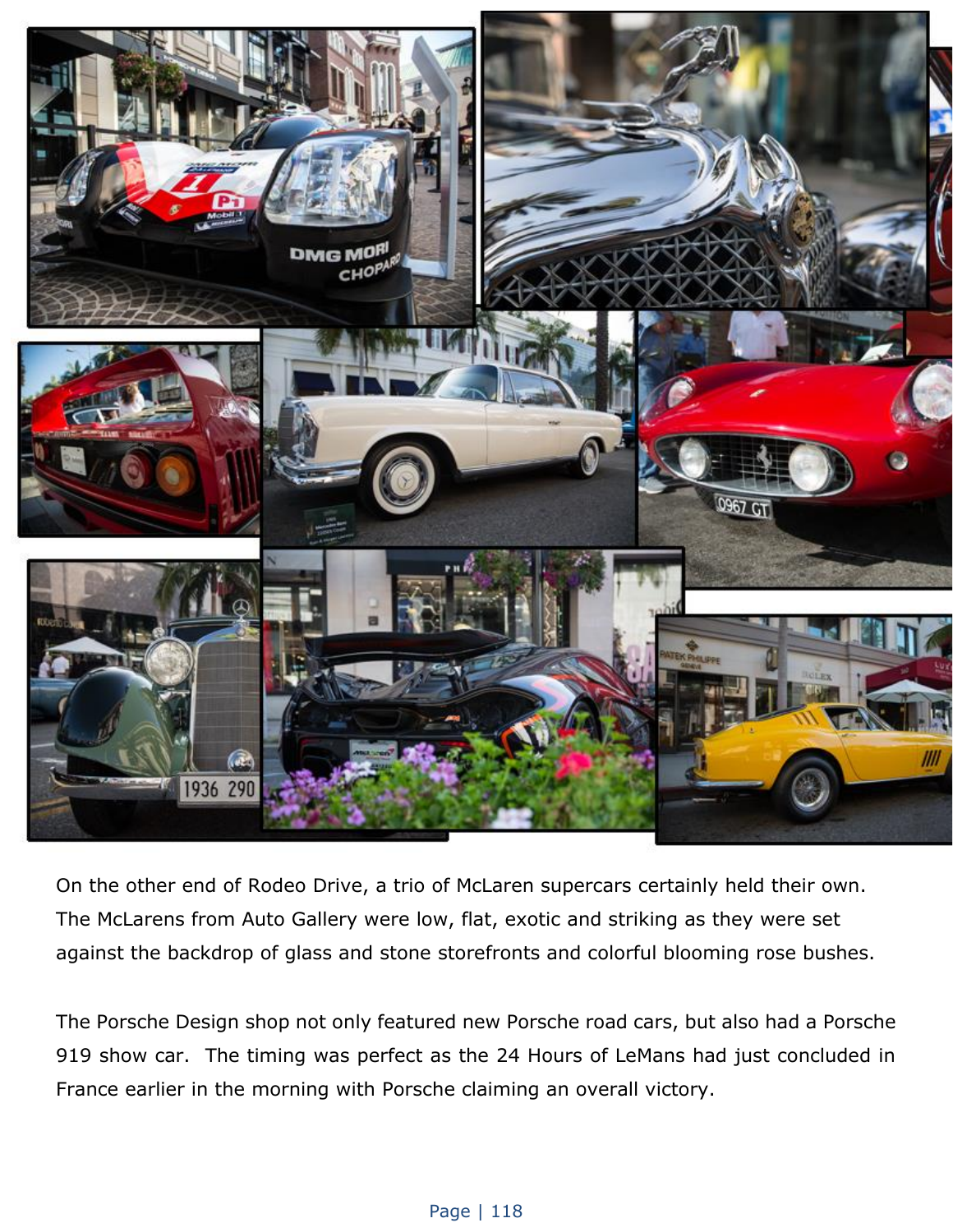

On the other end of Rodeo Drive, a trio of McLaren supercars certainly held their own. The McLarens from Auto Gallery were low, flat, exotic and striking as they were set against the backdrop of glass and stone storefronts and colorful blooming rose bushes.

The Porsche Design shop not only featured new Porsche road cars, but also had a Porsche 919 show car. The timing was perfect as the 24 Hours of LeMans had just concluded in France earlier in the morning with Porsche claiming an overall victory.